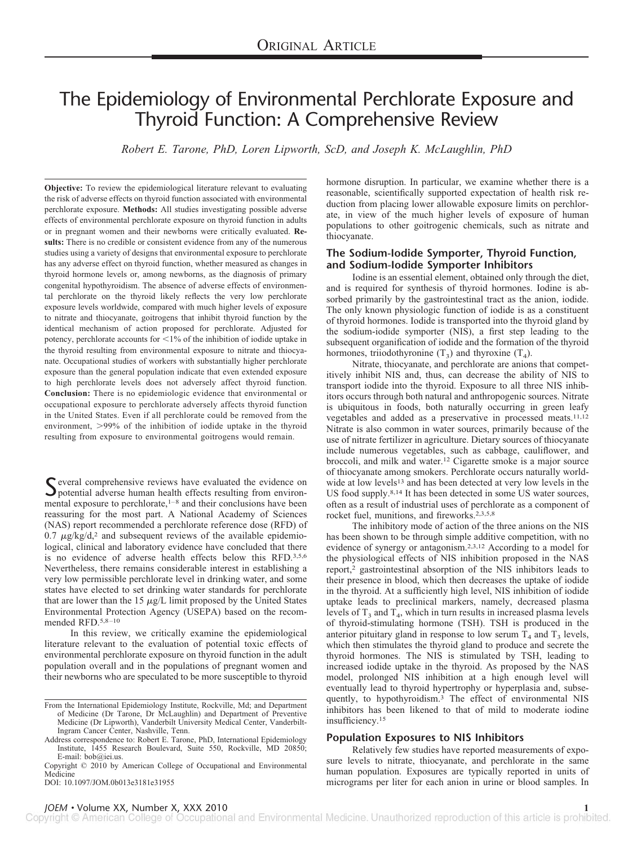# The Epidemiology of Environmental Perchlorate Exposure and Thyroid Function: A Comprehensive Review

*Robert E. Tarone, PhD, Loren Lipworth, ScD, and Joseph K. McLaughlin, PhD*

**Objective:** To review the epidemiological literature relevant to evaluating the risk of adverse effects on thyroid function associated with environmental perchlorate exposure. **Methods:** All studies investigating possible adverse effects of environmental perchlorate exposure on thyroid function in adults or in pregnant women and their newborns were critically evaluated. **Results:** There is no credible or consistent evidence from any of the numerous studies using a variety of designs that environmental exposure to perchlorate has any adverse effect on thyroid function, whether measured as changes in thyroid hormone levels or, among newborns, as the diagnosis of primary congenital hypothyroidism. The absence of adverse effects of environmental perchlorate on the thyroid likely reflects the very low perchlorate exposure levels worldwide, compared with much higher levels of exposure to nitrate and thiocyanate, goitrogens that inhibit thyroid function by the identical mechanism of action proposed for perchlorate. Adjusted for potency, perchlorate accounts for  $\leq 1\%$  of the inhibition of iodide uptake in the thyroid resulting from environmental exposure to nitrate and thiocyanate. Occupational studies of workers with substantially higher perchlorate exposure than the general population indicate that even extended exposure to high perchlorate levels does not adversely affect thyroid function. **Conclusion:** There is no epidemiologic evidence that environmental or occupational exposure to perchlorate adversely affects thyroid function in the United States. Even if all perchlorate could be removed from the environment, >99% of the inhibition of iodide uptake in the thyroid resulting from exposure to environmental goitrogens would remain.

Several comprehensive reviews have evaluated the evidence on potential adverse human health effects resulting from environ-<br>martial numerical and the problem is and their sensitive health health mental exposure to perchlorate, $1-8$  and their conclusions have been reassuring for the most part. A National Academy of Sciences (NAS) report recommended a perchlorate reference dose (RFD) of 0.7  $\mu$ g/kg/d,<sup>2</sup> and subsequent reviews of the available epidemiological, clinical and laboratory evidence have concluded that there is no evidence of adverse health effects below this RFD.3,5,6 Nevertheless, there remains considerable interest in establishing a very low permissible perchlorate level in drinking water, and some states have elected to set drinking water standards for perchlorate that are lower than the 15  $\mu$ g/L limit proposed by the United States Environmental Protection Agency (USEPA) based on the recommended RFD.5,8-10

In this review, we critically examine the epidemiological literature relevant to the evaluation of potential toxic effects of environmental perchlorate exposure on thyroid function in the adult population overall and in the populations of pregnant women and their newborns who are speculated to be more susceptible to thyroid

DOI: 10.1097/JOM.0b013e3181e31955

hormone disruption. In particular, we examine whether there is a reasonable, scientifically supported expectation of health risk reduction from placing lower allowable exposure limits on perchlorate, in view of the much higher levels of exposure of human populations to other goitrogenic chemicals, such as nitrate and thiocyanate.

# **The Sodium-Iodide Symporter, Thyroid Function, and Sodium-Iodide Symporter Inhibitors**

Iodine is an essential element, obtained only through the diet, and is required for synthesis of thyroid hormones. Iodine is absorbed primarily by the gastrointestinal tract as the anion, iodide. The only known physiologic function of iodide is as a constituent of thyroid hormones. Iodide is transported into the thyroid gland by the sodium-iodide symporter (NIS), a first step leading to the subsequent organification of iodide and the formation of the thyroid hormones, triiodothyronine  $(T_3)$  and thyroxine  $(T_4)$ .

Nitrate, thiocyanate, and perchlorate are anions that competitively inhibit NIS and, thus, can decrease the ability of NIS to transport iodide into the thyroid. Exposure to all three NIS inhibitors occurs through both natural and anthropogenic sources. Nitrate is ubiquitous in foods, both naturally occurring in green leafy vegetables and added as a preservative in processed meats.11,12 Nitrate is also common in water sources, primarily because of the use of nitrate fertilizer in agriculture. Dietary sources of thiocyanate include numerous vegetables, such as cabbage, cauliflower, and broccoli, and milk and water.12 Cigarette smoke is a major source of thiocyanate among smokers. Perchlorate occurs naturally worldwide at low levels<sup>13</sup> and has been detected at very low levels in the US food supply.8,14 It has been detected in some US water sources, often as a result of industrial uses of perchlorate as a component of rocket fuel, munitions, and fireworks.2,3,5,8

The inhibitory mode of action of the three anions on the NIS has been shown to be through simple additive competition, with no evidence of synergy or antagonism.2,3,12 According to a model for the physiological effects of NIS inhibition proposed in the NAS report,2 gastrointestinal absorption of the NIS inhibitors leads to their presence in blood, which then decreases the uptake of iodide in the thyroid. At a sufficiently high level, NIS inhibition of iodide uptake leads to preclinical markers, namely, decreased plasma levels of  $T_3$  and  $T_4$ , which in turn results in increased plasma levels of thyroid-stimulating hormone (TSH). TSH is produced in the anterior pituitary gland in response to low serum  $T_4$  and  $T_3$  levels, which then stimulates the thyroid gland to produce and secrete the thyroid hormones. The NIS is stimulated by TSH, leading to increased iodide uptake in the thyroid. As proposed by the NAS model, prolonged NIS inhibition at a high enough level will eventually lead to thyroid hypertrophy or hyperplasia and, subsequently, to hypothyroidism.3 The effect of environmental NIS inhibitors has been likened to that of mild to moderate iodine insufficiency.15

#### **Population Exposures to NIS Inhibitors**

Relatively few studies have reported measurements of exposure levels to nitrate, thiocyanate, and perchlorate in the same human population. Exposures are typically reported in units of micrograms per liter for each anion in urine or blood samples. In

From the International Epidemiology Institute, Rockville, Md; and Department of Medicine (Dr Tarone, Dr McLaughlin) and Department of Preventive Medicine (Dr Lipworth), Vanderbilt University Medical Center, Vanderbilt-Ingram Cancer Center, Nashville, Tenn.

Address correspondence to: Robert E. Tarone, PhD, International Epidemiology Institute, 1455 Research Boulevard, Suite 550, Rockville, MD 20850; E-mail: bob@iei.us.

Copyright © 2010 by American College of Occupational and Environmental Medicine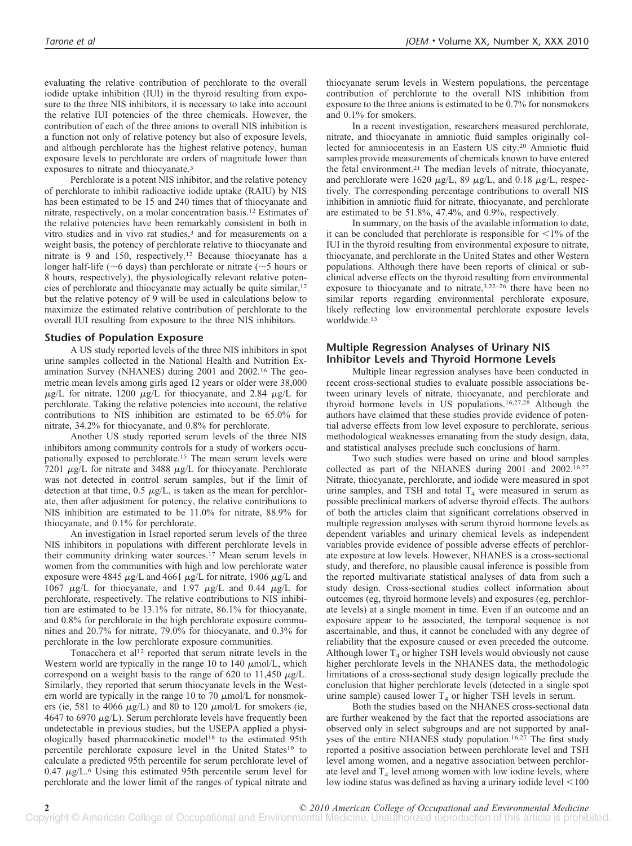evaluating the relative contribution of perchlorate to the overall iodide uptake inhibition (IUI) in the thyroid resulting from exposure to the three NIS inhibitors, it is necessary to take into account the relative IUI potencies of the three chemicals. However, the contribution of each of the three anions to overall NIS inhibition is a function not only of relative potency but also of exposure levels, and although perchlorate has the highest relative potency, human exposure levels to perchlorate are orders of magnitude lower than exposures to nitrate and thiocyanate.3

Perchlorate is a potent NIS inhibitor, and the relative potency of perchlorate to inhibit radioactive iodide uptake (RAIU) by NIS has been estimated to be 15 and 240 times that of thiocyanate and nitrate, respectively, on a molar concentration basis.12 Estimates of the relative potencies have been remarkably consistent in both in vitro studies and in vivo rat studies,<sup>3</sup> and for measurements on a weight basis, the potency of perchlorate relative to thiocyanate and nitrate is 9 and 150, respectively.12 Because thiocyanate has a longer half-life ( $\sim$ 6 days) than perchlorate or nitrate ( $\sim$ 5 hours or 8 hours, respectively), the physiologically relevant relative potencies of perchlorate and thiocyanate may actually be quite similar,12 but the relative potency of 9 will be used in calculations below to maximize the estimated relative contribution of perchlorate to the overall IUI resulting from exposure to the three NIS inhibitors.

## **Studies of Population Exposure**

A US study reported levels of the three NIS inhibitors in spot urine samples collected in the National Health and Nutrition Examination Survey (NHANES) during 2001 and 2002.16 The geometric mean levels among girls aged 12 years or older were 38,000  $\mu$ g/L for nitrate, 1200  $\mu$ g/L for thiocyanate, and 2.84  $\mu$ g/L for perchlorate. Taking the relative potencies into account, the relative contributions to NIS inhibition are estimated to be 65.0% for nitrate, 34.2% for thiocyanate, and 0.8% for perchlorate.

Another US study reported serum levels of the three NIS inhibitors among community controls for a study of workers occupationally exposed to perchlorate.15 The mean serum levels were 7201  $\mu$ g/L for nitrate and 3488  $\mu$ g/L for thiocyanate. Perchlorate was not detected in control serum samples, but if the limit of detection at that time,  $0.5 \mu g/L$ , is taken as the mean for perchlorate, then after adjustment for potency, the relative contributions to NIS inhibition are estimated to be 11.0% for nitrate, 88.9% for thiocyanate, and 0.1% for perchlorate.

An investigation in Israel reported serum levels of the three NIS inhibitors in populations with different perchlorate levels in their community drinking water sources.17 Mean serum levels in women from the communities with high and low perchlorate water exposure were 4845  $\mu$ g/L and 4661  $\mu$ g/L for nitrate, 1906  $\mu$ g/L and 1067  $\mu$ g/L for thiocyanate, and 1.97  $\mu$ g/L and 0.44  $\mu$ g/L for perchlorate, respectively. The relative contributions to NIS inhibition are estimated to be 13.1% for nitrate, 86.1% for thiocyanate, and 0.8% for perchlorate in the high perchlorate exposure communities and 20.7% for nitrate, 79.0% for thiocyanate, and 0.3% for perchlorate in the low perchlorate exposure communities.

Tonacchera et al<sup>12</sup> reported that serum nitrate levels in the Western world are typically in the range 10 to 140  $\mu$ mol/L, which correspond on a weight basis to the range of 620 to 11,450  $\mu$ g/L. Similarly, they reported that serum thiocyanate levels in the Western world are typically in the range 10 to 70  $\mu$ mol/L for nonsmokers (ie, 581 to 4066  $\mu$ g/L) and 80 to 120  $\mu$ mol/L for smokers (ie, 4647 to 6970  $\mu$ g/L). Serum perchlorate levels have frequently been undetectable in previous studies, but the USEPA applied a physiologically based pharmacokinetic model18 to the estimated 95th percentile perchlorate exposure level in the United States<sup>19</sup> to calculate a predicted 95th percentile for serum perchlorate level of 0.47  $\mu$ g/L.<sup>6</sup> Using this estimated 95th percentile serum level for perchlorate and the lower limit of the ranges of typical nitrate and

thiocyanate serum levels in Western populations, the percentage contribution of perchlorate to the overall NIS inhibition from exposure to the three anions is estimated to be 0.7% for nonsmokers and 0.1% for smokers.

In a recent investigation, researchers measured perchlorate, nitrate, and thiocyanate in amniotic fluid samples originally collected for amniocentesis in an Eastern US city.20 Amniotic fluid samples provide measurements of chemicals known to have entered the fetal environment.21 The median levels of nitrate, thiocyanate, and perchlorate were 1620  $\mu$ g/L, 89  $\mu$ g/L, and 0.18  $\mu$ g/L, respectively. The corresponding percentage contributions to overall NIS inhibition in amniotic fluid for nitrate, thiocyanate, and perchlorate are estimated to be 51.8%, 47.4%, and 0.9%, respectively.

In summary, on the basis of the available information to date, it can be concluded that perchlorate is responsible for  $\leq 1\%$  of the IUI in the thyroid resulting from environmental exposure to nitrate, thiocyanate, and perchlorate in the United States and other Western populations. Although there have been reports of clinical or subclinical adverse effects on the thyroid resulting from environmental exposure to thiocyanate and to nitrate,3,22–26 there have been no similar reports regarding environmental perchlorate exposure, likely reflecting low environmental perchlorate exposure levels worldwide.13

# **Multiple Regression Analyses of Urinary NIS Inhibitor Levels and Thyroid Hormone Levels**

Multiple linear regression analyses have been conducted in recent cross-sectional studies to evaluate possible associations between urinary levels of nitrate, thiocyanate, and perchlorate and thyroid hormone levels in US populations.16,27,28 Although the authors have claimed that these studies provide evidence of potential adverse effects from low level exposure to perchlorate, serious methodological weaknesses emanating from the study design, data, and statistical analyses preclude such conclusions of harm.

Two such studies were based on urine and blood samples collected as part of the NHANES during 2001 and 2002.16,27 Nitrate, thiocyanate, perchlorate, and iodide were measured in spot urine samples, and TSH and total  $T<sub>4</sub>$  were measured in serum as possible preclinical markers of adverse thyroid effects. The authors of both the articles claim that significant correlations observed in multiple regression analyses with serum thyroid hormone levels as dependent variables and urinary chemical levels as independent variables provide evidence of possible adverse effects of perchlorate exposure at low levels. However, NHANES is a cross-sectional study, and therefore, no plausible causal inference is possible from the reported multivariate statistical analyses of data from such a study design. Cross-sectional studies collect information about outcomes (eg, thyroid hormone levels) and exposures (eg, perchlorate levels) at a single moment in time. Even if an outcome and an exposure appear to be associated, the temporal sequence is not ascertainable, and thus, it cannot be concluded with any degree of reliability that the exposure caused or even preceded the outcome. Although lower  $T_4$  or higher TSH levels would obviously not cause higher perchlorate levels in the NHANES data, the methodologic limitations of a cross-sectional study design logically preclude the conclusion that higher perchlorate levels (detected in a single spot urine sample) caused lower  $T<sub>4</sub>$  or higher TSH levels in serum.

Both the studies based on the NHANES cross-sectional data are further weakened by the fact that the reported associations are observed only in select subgroups and are not supported by analyses of the entire NHANES study population.<sup>16,27</sup> The first study reported a positive association between perchlorate level and TSH level among women, and a negative association between perchlorate level and  $T_4$  level among women with low iodine levels, where low iodine status was defined as having a urinary iodide level  $\leq 100$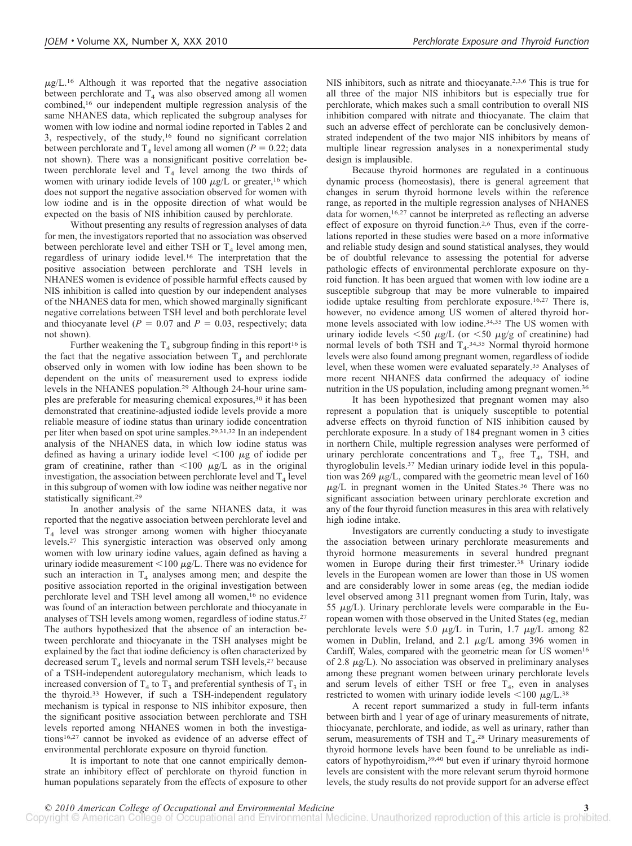$\mu$ g/L.<sup>16</sup> Although it was reported that the negative association between perchlorate and  $T<sub>4</sub>$  was also observed among all women combined,16 our independent multiple regression analysis of the same NHANES data, which replicated the subgroup analyses for women with low iodine and normal iodine reported in Tables 2 and 3, respectively, of the study,16 found no significant correlation between perchlorate and  $T_4$  level among all women ( $P = 0.22$ ; data not shown). There was a nonsignificant positive correlation between perchlorate level and  $T<sub>4</sub>$  level among the two thirds of women with urinary iodide levels of 100  $\mu$ g/L or greater,<sup>16</sup> which does not support the negative association observed for women with low iodine and is in the opposite direction of what would be expected on the basis of NIS inhibition caused by perchlorate.

Without presenting any results of regression analyses of data for men, the investigators reported that no association was observed between perchlorate level and either TSH or  $T_4$  level among men, regardless of urinary iodide level.16 The interpretation that the positive association between perchlorate and TSH levels in NHANES women is evidence of possible harmful effects caused by NIS inhibition is called into question by our independent analyses of the NHANES data for men, which showed marginally significant negative correlations between TSH level and both perchlorate level and thiocyanate level ( $P = 0.07$  and  $P = 0.03$ , respectively; data not shown).

Further weakening the  $T_4$  subgroup finding in this report<sup>16</sup> is the fact that the negative association between  $T<sub>4</sub>$  and perchlorate observed only in women with low iodine has been shown to be dependent on the units of measurement used to express iodide levels in the NHANES population.29 Although 24-hour urine samples are preferable for measuring chemical exposures,30 it has been demonstrated that creatinine-adjusted iodide levels provide a more reliable measure of iodine status than urinary iodide concentration per liter when based on spot urine samples.29,31,32 In an independent analysis of the NHANES data, in which low iodine status was defined as having a urinary iodide level  $\lt 100 \mu$ g of iodide per gram of creatinine, rather than  $\langle 100 \mu g/L \rangle$  as in the original investigation, the association between perchlorate level and  $T<sub>4</sub>$  level in this subgroup of women with low iodine was neither negative nor statistically significant.<sup>29</sup>

In another analysis of the same NHANES data, it was reported that the negative association between perchlorate level and T4 level was stronger among women with higher thiocyanate levels.27 This synergistic interaction was observed only among women with low urinary iodine values, again defined as having a urinary iodide measurement <100  $\mu$ g/L. There was no evidence for such an interaction in  $T_4$  analyses among men; and despite the positive association reported in the original investigation between perchlorate level and TSH level among all women,<sup>16</sup> no evidence was found of an interaction between perchlorate and thiocyanate in analyses of TSH levels among women, regardless of iodine status.27 The authors hypothesized that the absence of an interaction between perchlorate and thiocyanate in the TSH analyses might be explained by the fact that iodine deficiency is often characterized by decreased serum  $T_4$  levels and normal serum TSH levels,<sup>27</sup> because of a TSH-independent autoregulatory mechanism, which leads to increased conversion of  $T_4$  to  $T_3$  and preferential synthesis of  $T_3$  in the thyroid.33 However, if such a TSH-independent regulatory mechanism is typical in response to NIS inhibitor exposure, then the significant positive association between perchlorate and TSH levels reported among NHANES women in both the investigations16,27 cannot be invoked as evidence of an adverse effect of environmental perchlorate exposure on thyroid function.

It is important to note that one cannot empirically demonstrate an inhibitory effect of perchlorate on thyroid function in human populations separately from the effects of exposure to other

NIS inhibitors, such as nitrate and thiocyanate.2,3,6 This is true for all three of the major NIS inhibitors but is especially true for perchlorate, which makes such a small contribution to overall NIS inhibition compared with nitrate and thiocyanate. The claim that such an adverse effect of perchlorate can be conclusively demonstrated independent of the two major NIS inhibitors by means of multiple linear regression analyses in a nonexperimental study design is implausible.

Because thyroid hormones are regulated in a continuous dynamic process (homeostasis), there is general agreement that changes in serum thyroid hormone levels within the reference range, as reported in the multiple regression analyses of NHANES data for women,<sup>16,27</sup> cannot be interpreted as reflecting an adverse effect of exposure on thyroid function.2,6 Thus, even if the correlations reported in these studies were based on a more informative and reliable study design and sound statistical analyses, they would be of doubtful relevance to assessing the potential for adverse pathologic effects of environmental perchlorate exposure on thyroid function. It has been argued that women with low iodine are a susceptible subgroup that may be more vulnerable to impaired iodide uptake resulting from perchlorate exposure.<sup>16,27</sup> There is, however, no evidence among US women of altered thyroid hormone levels associated with low iodine.34,35 The US women with urinary iodide levels  $\lt 50 \mu g/L$  (or  $\lt 50 \mu g/g$  of creatinine) had normal levels of both TSH and  $T_4$ .<sup>34,35</sup> Normal thyroid hormone</sup> levels were also found among pregnant women, regardless of iodide level, when these women were evaluated separately.35 Analyses of more recent NHANES data confirmed the adequacy of iodine nutrition in the US population, including among pregnant women.36

It has been hypothesized that pregnant women may also represent a population that is uniquely susceptible to potential adverse effects on thyroid function of NIS inhibition caused by perchlorate exposure. In a study of 184 pregnant women in 3 cities in northern Chile, multiple regression analyses were performed of urinary perchlorate concentrations and  $T_3$ , free  $T_4$ , TSH, and thyroglobulin levels.37 Median urinary iodide level in this population was 269  $\mu$ g/L, compared with the geometric mean level of 160  $\mu$ g/L in pregnant women in the United States.<sup>36</sup> There was no significant association between urinary perchlorate excretion and any of the four thyroid function measures in this area with relatively high iodine intake.

Investigators are currently conducting a study to investigate the association between urinary perchlorate measurements and thyroid hormone measurements in several hundred pregnant women in Europe during their first trimester.<sup>38</sup> Urinary iodide levels in the European women are lower than those in US women and are considerably lower in some areas (eg, the median iodide level observed among 311 pregnant women from Turin, Italy, was 55  $\mu$ g/L). Urinary perchlorate levels were comparable in the European women with those observed in the United States (eg, median perchlorate levels were 5.0  $\mu$ g/L in Turin, 1.7  $\mu$ g/L among 82 women in Dublin, Ireland, and 2.1  $\mu$ g/L among 396 women in Cardiff, Wales, compared with the geometric mean for US women<sup>16</sup> of 2.8  $\mu$ g/L). No association was observed in preliminary analyses among these pregnant women between urinary perchlorate levels and serum levels of either TSH or free  $T<sub>4</sub>$ , even in analyses restricted to women with urinary iodide levels  $\leq 100 \mu g/L^{38}$ 

A recent report summarized a study in full-term infants between birth and 1 year of age of urinary measurements of nitrate, thiocyanate, perchlorate, and iodide, as well as urinary, rather than serum, measurements of TSH and  $T<sub>4</sub>$ .<sup>28</sup> Urinary measurements of thyroid hormone levels have been found to be unreliable as indicators of hypothyroidism,39,40 but even if urinary thyroid hormone levels are consistent with the more relevant serum thyroid hormone levels, the study results do not provide support for an adverse effect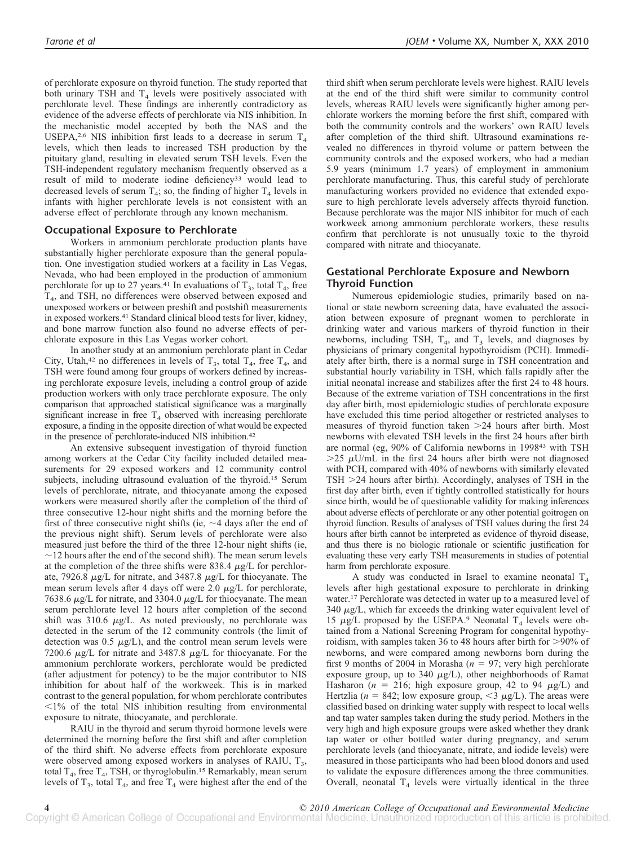of perchlorate exposure on thyroid function. The study reported that both urinary TSH and  $T_4$  levels were positively associated with perchlorate level. These findings are inherently contradictory as evidence of the adverse effects of perchlorate via NIS inhibition. In the mechanistic model accepted by both the NAS and the USEPA,<sup>2,6</sup> NIS inhibition first leads to a decrease in serum  $T_4$ levels, which then leads to increased TSH production by the pituitary gland, resulting in elevated serum TSH levels. Even the TSH-independent regulatory mechanism frequently observed as a result of mild to moderate iodine deficiency<sup>33</sup> would lead to decreased levels of serum  $T_4$ ; so, the finding of higher  $T_4$  levels in infants with higher perchlorate levels is not consistent with an adverse effect of perchlorate through any known mechanism.

#### **Occupational Exposure to Perchlorate**

Workers in ammonium perchlorate production plants have substantially higher perchlorate exposure than the general population. One investigation studied workers at a facility in Las Vegas, Nevada, who had been employed in the production of ammonium perchlorate for up to 27 years.<sup>41</sup> In evaluations of  $T_3$ , total  $T_4$ , free T4, and TSH, no differences were observed between exposed and unexposed workers or between preshift and postshift measurements in exposed workers.41 Standard clinical blood tests for liver, kidney, and bone marrow function also found no adverse effects of perchlorate exposure in this Las Vegas worker cohort.

In another study at an ammonium perchlorate plant in Cedar City, Utah,<sup>42</sup> no differences in levels of  $T_3$ , total  $T_4$ , free  $T_4$ , and TSH were found among four groups of workers defined by increasing perchlorate exposure levels, including a control group of azide production workers with only trace perchlorate exposure. The only comparison that approached statistical significance was a marginally significant increase in free  $T_4$  observed with increasing perchlorate exposure, a finding in the opposite direction of what would be expected in the presence of perchlorate-induced NIS inhibition.42

An extensive subsequent investigation of thyroid function among workers at the Cedar City facility included detailed measurements for 29 exposed workers and 12 community control subjects, including ultrasound evaluation of the thyroid.15 Serum levels of perchlorate, nitrate, and thiocyanate among the exposed workers were measured shortly after the completion of the third of three consecutive 12-hour night shifts and the morning before the first of three consecutive night shifts (ie,  $\sim$  4 days after the end of the previous night shift). Serum levels of perchlorate were also measured just before the third of the three 12-hour night shifts (ie,  $\sim$ 12 hours after the end of the second shift). The mean serum levels at the completion of the three shifts were 838.4  $\mu$ g/L for perchlorate, 7926.8  $\mu$ g/L for nitrate, and 3487.8  $\mu$ g/L for thiocyanate. The mean serum levels after 4 days off were 2.0  $\mu$ g/L for perchlorate, 7638.6  $\mu$ g/L for nitrate, and 3304.0  $\mu$ g/L for thiocyanate. The mean serum perchlorate level 12 hours after completion of the second shift was 310.6  $\mu$ g/L. As noted previously, no perchlorate was detected in the serum of the 12 community controls (the limit of detection was  $0.5 \mu g/L$ , and the control mean serum levels were 7200.6  $\mu$ g/L for nitrate and 3487.8  $\mu$ g/L for thiocyanate. For the ammonium perchlorate workers, perchlorate would be predicted (after adjustment for potency) to be the major contributor to NIS inhibition for about half of the workweek. This is in marked contrast to the general population, for whom perchlorate contributes  $1\%$  of the total NIS inhibition resulting from environmental exposure to nitrate, thiocyanate, and perchlorate.

RAIU in the thyroid and serum thyroid hormone levels were determined the morning before the first shift and after completion of the third shift. No adverse effects from perchlorate exposure were observed among exposed workers in analyses of RAIU,  $T_3$ , total  $T_4$ , free  $T_4$ , TSH, or thyroglobulin.<sup>15</sup> Remarkably, mean serum levels of  $T_3$ , total  $T_4$ , and free  $T_4$  were highest after the end of the third shift when serum perchlorate levels were highest. RAIU levels at the end of the third shift were similar to community control levels, whereas RAIU levels were significantly higher among perchlorate workers the morning before the first shift, compared with both the community controls and the workers' own RAIU levels after completion of the third shift. Ultrasound examinations revealed no differences in thyroid volume or pattern between the community controls and the exposed workers, who had a median 5.9 years (minimum 1.7 years) of employment in ammonium perchlorate manufacturing. Thus, this careful study of perchlorate manufacturing workers provided no evidence that extended exposure to high perchlorate levels adversely affects thyroid function. Because perchlorate was the major NIS inhibitor for much of each workweek among ammonium perchlorate workers, these results confirm that perchlorate is not unusually toxic to the thyroid compared with nitrate and thiocyanate.

# **Gestational Perchlorate Exposure and Newborn Thyroid Function**

Numerous epidemiologic studies, primarily based on national or state newborn screening data, have evaluated the association between exposure of pregnant women to perchlorate in drinking water and various markers of thyroid function in their newborns, including TSH,  $T_4$ , and  $T_3$  levels, and diagnoses by physicians of primary congenital hypothyroidism (PCH). Immediately after birth, there is a normal surge in TSH concentration and substantial hourly variability in TSH, which falls rapidly after the initial neonatal increase and stabilizes after the first 24 to 48 hours. Because of the extreme variation of TSH concentrations in the first day after birth, most epidemiologic studies of perchlorate exposure have excluded this time period altogether or restricted analyses to measures of thyroid function taken >24 hours after birth. Most newborns with elevated TSH levels in the first 24 hours after birth are normal (eg, 90% of California newborns in 199843 with TSH  $>$ 25  $\mu$ U/mL in the first 24 hours after birth were not diagnosed with PCH, compared with 40% of newborns with similarly elevated TSH -24 hours after birth). Accordingly, analyses of TSH in the first day after birth, even if tightly controlled statistically for hours since birth, would be of questionable validity for making inferences about adverse effects of perchlorate or any other potential goitrogen on thyroid function. Results of analyses of TSH values during the first 24 hours after birth cannot be interpreted as evidence of thyroid disease, and thus there is no biologic rationale or scientific justification for evaluating these very early TSH measurements in studies of potential harm from perchlorate exposure.

A study was conducted in Israel to examine neonatal  $T_4$ levels after high gestational exposure to perchlorate in drinking water.17 Perchlorate was detected in water up to a measured level of  $340 \mu g/L$ , which far exceeds the drinking water equivalent level of 15  $\mu$ g/L proposed by the USEPA.<sup>9</sup> Neonatal T<sub>4</sub> levels were obtained from a National Screening Program for congenital hypothyroidism, with samples taken 36 to 48 hours after birth for  $>$ 90% of newborns, and were compared among newborns born during the first 9 months of 2004 in Morasha ( $n = 97$ ; very high perchlorate exposure group, up to 340  $\mu$ g/L), other neighborhoods of Ramat Hasharon ( $n = 216$ ; high exposure group, 42 to 94  $\mu$ g/L) and Hertzlia ( $n = 842$ ; low exposure group,  $\langle 3 \mu g/L \rangle$ ). The areas were classified based on drinking water supply with respect to local wells and tap water samples taken during the study period. Mothers in the very high and high exposure groups were asked whether they drank tap water or other bottled water during pregnancy, and serum perchlorate levels (and thiocyanate, nitrate, and iodide levels) were measured in those participants who had been blood donors and used to validate the exposure differences among the three communities. Overall, neonatal  $T_4$  levels were virtually identical in the three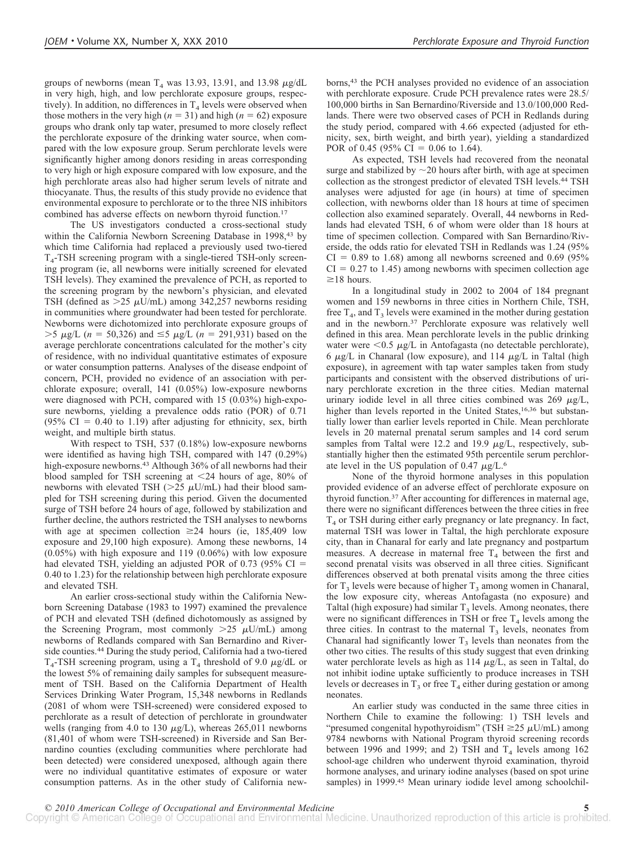groups of newborns (mean  $T_4$  was 13.93, 13.91, and 13.98  $\mu$ g/dL in very high, high, and low perchlorate exposure groups, respectively). In addition, no differences in  $T<sub>4</sub>$  levels were observed when those mothers in the very high ( $n = 31$ ) and high ( $n = 62$ ) exposure groups who drank only tap water, presumed to more closely reflect the perchlorate exposure of the drinking water source, when compared with the low exposure group. Serum perchlorate levels were significantly higher among donors residing in areas corresponding to very high or high exposure compared with low exposure, and the high perchlorate areas also had higher serum levels of nitrate and thiocyanate. Thus, the results of this study provide no evidence that environmental exposure to perchlorate or to the three NIS inhibitors combined has adverse effects on newborn thyroid function.17

The US investigators conducted a cross-sectional study within the California Newborn Screening Database in 1998,<sup>43</sup> by which time California had replaced a previously used two-tiered  $T<sub>4</sub>-TSH$  screening program with a single-tiered TSH-only screening program (ie, all newborns were initially screened for elevated TSH levels). They examined the prevalence of PCH, as reported to the screening program by the newborn's physician, and elevated TSH (defined as  $>$ 25  $\mu$ U/mL) among 342,257 newborns residing in communities where groundwater had been tested for perchlorate. Newborns were dichotomized into perchlorate exposure groups of  $>$ 5  $\mu$ g/L (*n* = 50,326) and  $\leq$ 5  $\mu$ g/L (*n* = 291,931) based on the average perchlorate concentrations calculated for the mother's city of residence, with no individual quantitative estimates of exposure or water consumption patterns. Analyses of the disease endpoint of concern, PCH, provided no evidence of an association with perchlorate exposure; overall, 141 (0.05%) low-exposure newborns were diagnosed with PCH, compared with 15 (0.03%) high-exposure newborns, yielding a prevalence odds ratio (POR) of 0.71  $(95\% \text{ CI} = 0.40 \text{ to } 1.19)$  after adjusting for ethnicity, sex, birth weight, and multiple birth status.

With respect to TSH, 537 (0.18%) low-exposure newborns were identified as having high TSH, compared with 147 (0.29%) high-exposure newborns.<sup>43</sup> Although 36% of all newborns had their blood sampled for TSH screening at  $\leq$ 24 hours of age, 80% of newborns with elevated TSH ( $>$ 25  $\mu$ U/mL) had their blood sampled for TSH screening during this period. Given the documented surge of TSH before 24 hours of age, followed by stabilization and further decline, the authors restricted the TSH analyses to newborns with age at specimen collection  $\geq 24$  hours (ie, 185,409 low exposure and 29,100 high exposure). Among these newborns, 14 (0.05%) with high exposure and 119 (0.06%) with low exposure had elevated TSH, yielding an adjusted POR of 0.73 (95%  $CI =$ 0.40 to 1.23) for the relationship between high perchlorate exposure and elevated TSH.

An earlier cross-sectional study within the California Newborn Screening Database (1983 to 1997) examined the prevalence of PCH and elevated TSH (defined dichotomously as assigned by the Screening Program, most commonly  $>25 \mu U/mL$  among newborns of Redlands compared with San Bernardino and Riverside counties.44 During the study period, California had a two-tiered  $T_4$ -TSH screening program, using a  $T_4$  threshold of 9.0  $\mu$ g/dL or the lowest 5% of remaining daily samples for subsequent measurement of TSH. Based on the California Department of Health Services Drinking Water Program, 15,348 newborns in Redlands (2081 of whom were TSH-screened) were considered exposed to perchlorate as a result of detection of perchlorate in groundwater wells (ranging from 4.0 to 130  $\mu$ g/L), whereas 265,011 newborns (81,401 of whom were TSH-screened) in Riverside and San Bernardino counties (excluding communities where perchlorate had been detected) were considered unexposed, although again there were no individual quantitative estimates of exposure or water consumption patterns. As in the other study of California newborns,<sup>43</sup> the PCH analyses provided no evidence of an association with perchlorate exposure. Crude PCH prevalence rates were 28.5/ 100,000 births in San Bernardino/Riverside and 13.0/100,000 Redlands. There were two observed cases of PCH in Redlands during the study period, compared with 4.66 expected (adjusted for ethnicity, sex, birth weight, and birth year), yielding a standardized POR of 0.45 (95% CI = 0.06 to 1.64).

As expected, TSH levels had recovered from the neonatal surge and stabilized by  $\sim$  20 hours after birth, with age at specimen collection as the strongest predictor of elevated TSH levels.44 TSH analyses were adjusted for age (in hours) at time of specimen collection, with newborns older than 18 hours at time of specimen collection also examined separately. Overall, 44 newborns in Redlands had elevated TSH, 6 of whom were older than 18 hours at time of specimen collection. Compared with San Bernardino/Riverside, the odds ratio for elevated TSH in Redlands was 1.24 (95%  $CI = 0.89$  to 1.68) among all newborns screened and 0.69 (95%)  $CI = 0.27$  to 1.45) among newborns with specimen collection age  $\geq$ 18 hours.

In a longitudinal study in 2002 to 2004 of 184 pregnant women and 159 newborns in three cities in Northern Chile, TSH, free  $T<sub>4</sub>$ , and  $T<sub>3</sub>$  levels were examined in the mother during gestation and in the newborn.37 Perchlorate exposure was relatively well defined in this area. Mean perchlorate levels in the public drinking water were  $\leq 0.5 \mu g/L$  in Antofagasta (no detectable perchlorate), 6  $\mu$ g/L in Chanaral (low exposure), and 114  $\mu$ g/L in Taltal (high exposure), in agreement with tap water samples taken from study participants and consistent with the observed distributions of urinary perchlorate excretion in the three cities. Median maternal urinary iodide level in all three cities combined was 269  $\mu$ g/L, higher than levels reported in the United States,<sup>16,36</sup> but substantially lower than earlier levels reported in Chile. Mean perchlorate levels in 20 maternal prenatal serum samples and 14 cord serum samples from Taltal were 12.2 and 19.9  $\mu$ g/L, respectively, substantially higher then the estimated 95th percentile serum perchlorate level in the US population of 0.47  $\mu$ g/L.<sup>6</sup>

None of the thyroid hormone analyses in this population provided evidence of an adverse effect of perchlorate exposure on thyroid function.37 After accounting for differences in maternal age, there were no significant differences between the three cities in free  $T<sub>4</sub>$  or TSH during either early pregnancy or late pregnancy. In fact, maternal TSH was lower in Taltal, the high perchlorate exposure city, than in Chanaral for early and late pregnancy and postpartum measures. A decrease in maternal free  $T_4$  between the first and second prenatal visits was observed in all three cities. Significant differences observed at both prenatal visits among the three cities for  $T_3$  levels were because of higher  $T_3$  among women in Chanaral, the low exposure city, whereas Antofagasta (no exposure) and Taltal (high exposure) had similar  $T<sub>3</sub>$  levels. Among neonates, there were no significant differences in TSH or free  $T_4$  levels among the three cities. In contrast to the maternal  $T<sub>3</sub>$  levels, neonates from Chanaral had significantly lower  $T_3$  levels than neonates from the other two cities. The results of this study suggest that even drinking water perchlorate levels as high as  $114 \mu g/L$ , as seen in Taltal, do not inhibit iodine uptake sufficiently to produce increases in TSH levels or decreases in  $T_3$  or free  $T_4$  either during gestation or among neonates.

An earlier study was conducted in the same three cities in Northern Chile to examine the following: 1) TSH levels and "presumed congenital hypothyroidism" (TSH  $\geq$ 25  $\mu$ U/mL) among 9784 newborns with National Program thyroid screening records between 1996 and 1999; and 2) TSH and  $T_4$  levels among 162 school-age children who underwent thyroid examination, thyroid hormone analyses, and urinary iodine analyses (based on spot urine samples) in 1999.<sup>45</sup> Mean urinary iodide level among schoolchil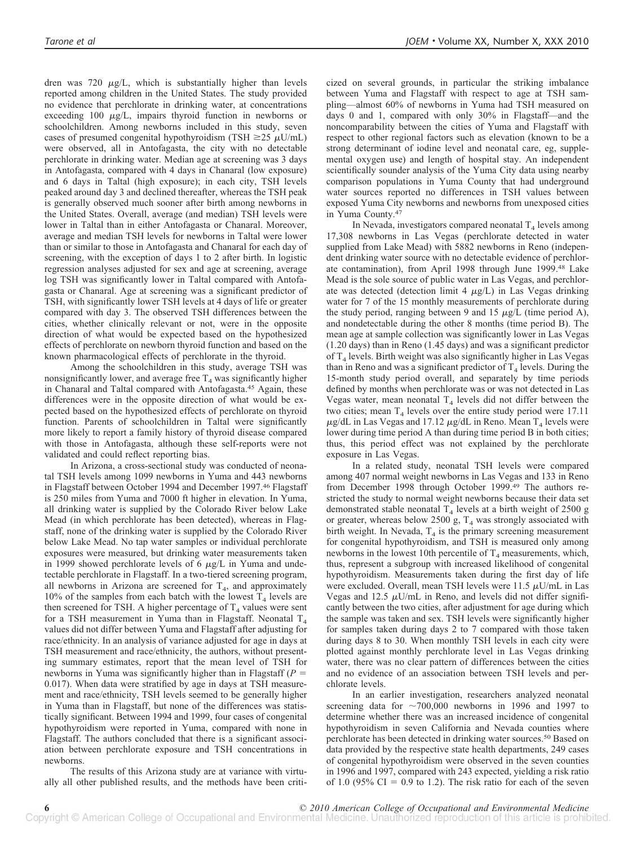dren was 720  $\mu$ g/L, which is substantially higher than levels reported among children in the United States. The study provided no evidence that perchlorate in drinking water, at concentrations exceeding 100  $\mu$ g/L, impairs thyroid function in newborns or schoolchildren. Among newborns included in this study, seven cases of presumed congenital hypothyroidism (TSH  $\geq$ 25  $\mu$ U/mL) were observed, all in Antofagasta, the city with no detectable perchlorate in drinking water. Median age at screening was 3 days in Antofagasta, compared with 4 days in Chanaral (low exposure) and 6 days in Taltal (high exposure); in each city, TSH levels peaked around day 3 and declined thereafter, whereas the TSH peak is generally observed much sooner after birth among newborns in the United States. Overall, average (and median) TSH levels were lower in Taltal than in either Antofagasta or Chanaral. Moreover, average and median TSH levels for newborns in Taltal were lower than or similar to those in Antofagasta and Chanaral for each day of screening, with the exception of days 1 to 2 after birth. In logistic regression analyses adjusted for sex and age at screening, average log TSH was significantly lower in Taltal compared with Antofagasta or Chanaral. Age at screening was a significant predictor of TSH, with significantly lower TSH levels at 4 days of life or greater compared with day 3. The observed TSH differences between the cities, whether clinically relevant or not, were in the opposite direction of what would be expected based on the hypothesized effects of perchlorate on newborn thyroid function and based on the known pharmacological effects of perchlorate in the thyroid.

Among the schoolchildren in this study, average TSH was nonsignificantly lower, and average free  $T_4$  was significantly higher in Chanaral and Taltal compared with Antofagasta.45 Again, these differences were in the opposite direction of what would be expected based on the hypothesized effects of perchlorate on thyroid function. Parents of schoolchildren in Taltal were significantly more likely to report a family history of thyroid disease compared with those in Antofagasta, although these self-reports were not validated and could reflect reporting bias.

In Arizona, a cross-sectional study was conducted of neonatal TSH levels among 1099 newborns in Yuma and 443 newborns in Flagstaff between October 1994 and December 1997.<sup>46</sup> Flagstaff is 250 miles from Yuma and 7000 ft higher in elevation. In Yuma, all drinking water is supplied by the Colorado River below Lake Mead (in which perchlorate has been detected), whereas in Flagstaff, none of the drinking water is supplied by the Colorado River below Lake Mead. No tap water samples or individual perchlorate exposures were measured, but drinking water measurements taken in 1999 showed perchlorate levels of 6  $\mu$ g/L in Yuma and undetectable perchlorate in Flagstaff. In a two-tiered screening program, all newborns in Arizona are screened for  $T<sub>4</sub>$ , and approximately 10% of the samples from each batch with the lowest  $T_4$  levels are then screened for TSH. A higher percentage of  $T_4$  values were sent for a TSH measurement in Yuma than in Flagstaff. Neonatal  $T<sub>4</sub>$ values did not differ between Yuma and Flagstaff after adjusting for race/ethnicity. In an analysis of variance adjusted for age in days at TSH measurement and race/ethnicity, the authors, without presenting summary estimates, report that the mean level of TSH for newborns in Yuma was significantly higher than in Flagstaff (*P* 0.017). When data were stratified by age in days at TSH measurement and race/ethnicity, TSH levels seemed to be generally higher in Yuma than in Flagstaff, but none of the differences was statistically significant. Between 1994 and 1999, four cases of congenital hypothyroidism were reported in Yuma, compared with none in Flagstaff. The authors concluded that there is a significant association between perchlorate exposure and TSH concentrations in newborns.

The results of this Arizona study are at variance with virtually all other published results, and the methods have been criticized on several grounds, in particular the striking imbalance between Yuma and Flagstaff with respect to age at TSH sampling—almost 60% of newborns in Yuma had TSH measured on days 0 and 1, compared with only 30% in Flagstaff—and the noncomparability between the cities of Yuma and Flagstaff with respect to other regional factors such as elevation (known to be a strong determinant of iodine level and neonatal care, eg, supplemental oxygen use) and length of hospital stay. An independent scientifically sounder analysis of the Yuma City data using nearby comparison populations in Yuma County that had underground water sources reported no differences in TSH values between exposed Yuma City newborns and newborns from unexposed cities in Yuma County.47

In Nevada, investigators compared neonatal  $T<sub>4</sub>$  levels among 17,308 newborns in Las Vegas (perchlorate detected in water supplied from Lake Mead) with 5882 newborns in Reno (independent drinking water source with no detectable evidence of perchlorate contamination), from April 1998 through June 1999.48 Lake Mead is the sole source of public water in Las Vegas, and perchlorate was detected (detection limit 4  $\mu$ g/L) in Las Vegas drinking water for 7 of the 15 monthly measurements of perchlorate during the study period, ranging between 9 and 15  $\mu$ g/L (time period A), and nondetectable during the other 8 months (time period B). The mean age at sample collection was significantly lower in Las Vegas (1.20 days) than in Reno (1.45 days) and was a significant predictor of  $T<sub>4</sub>$  levels. Birth weight was also significantly higher in Las Vegas than in Reno and was a significant predictor of  $T<sub>4</sub>$  levels. During the 15-month study period overall, and separately by time periods defined by months when perchlorate was or was not detected in Las Vegas water, mean neonatal  $T<sub>4</sub>$  levels did not differ between the two cities; mean  $T_4$  levels over the entire study period were 17.11  $\mu$ g/dL in Las Vegas and 17.12  $\mu$ g/dL in Reno. Mean T<sub>4</sub> levels were lower during time period A than during time period B in both cities; thus, this period effect was not explained by the perchlorate exposure in Las Vegas.

In a related study, neonatal TSH levels were compared among 407 normal weight newborns in Las Vegas and 133 in Reno from December 1998 through October 1999.<sup>49</sup> The authors restricted the study to normal weight newborns because their data set demonstrated stable neonatal  $T_4$  levels at a birth weight of 2500 g or greater, whereas below 2500 g,  $T_4$  was strongly associated with birth weight. In Nevada,  $T_4$  is the primary screening measurement for congenital hypothyroidism, and TSH is measured only among newborns in the lowest 10th percentile of  $T_4$  measurements, which, thus, represent a subgroup with increased likelihood of congenital hypothyroidism. Measurements taken during the first day of life were excluded. Overall, mean TSH levels were  $11.5 \mu U/mL$  in Las Vegas and 12.5  $\mu$ U/mL in Reno, and levels did not differ significantly between the two cities, after adjustment for age during which the sample was taken and sex. TSH levels were significantly higher for samples taken during days 2 to 7 compared with those taken during days 8 to 30. When monthly TSH levels in each city were plotted against monthly perchlorate level in Las Vegas drinking water, there was no clear pattern of differences between the cities and no evidence of an association between TSH levels and perchlorate levels.

In an earlier investigation, researchers analyzed neonatal screening data for  $\sim$  700,000 newborns in 1996 and 1997 to determine whether there was an increased incidence of congenital hypothyroidism in seven California and Nevada counties where perchlorate has been detected in drinking water sources.50 Based on data provided by the respective state health departments, 249 cases of congenital hypothyroidism were observed in the seven counties in 1996 and 1997, compared with 243 expected, yielding a risk ratio of 1.0 (95%  $CI = 0.9$  to 1.2). The risk ratio for each of the seven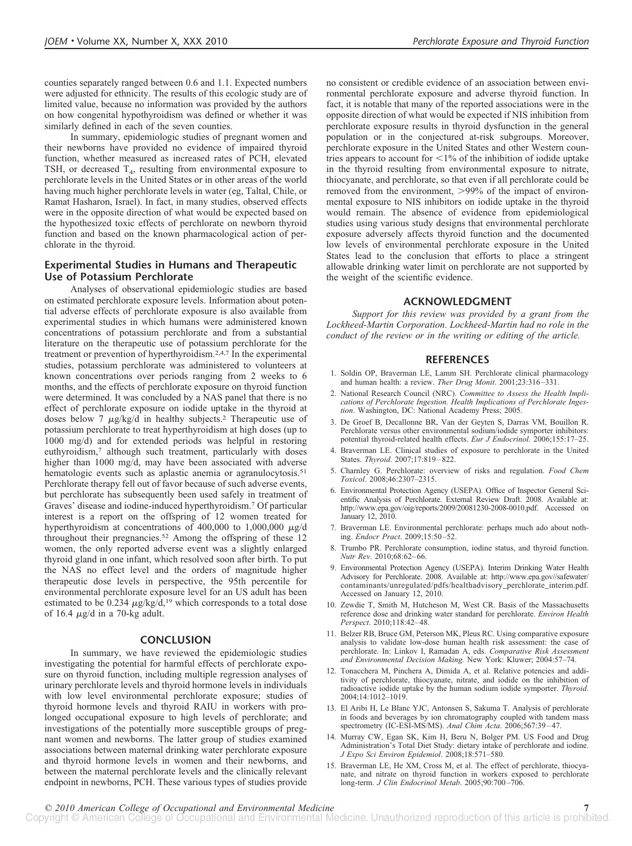counties separately ranged between 0.6 and 1.1. Expected numbers were adjusted for ethnicity. The results of this ecologic study are of limited value, because no information was provided by the authors on how congenital hypothyroidism was defined or whether it was similarly defined in each of the seven counties.

In summary, epidemiologic studies of pregnant women and their newborns have provided no evidence of impaired thyroid function, whether measured as increased rates of PCH, elevated TSH, or decreased  $T<sub>4</sub>$ , resulting from environmental exposure to perchlorate levels in the United States or in other areas of the world having much higher perchlorate levels in water (eg, Taltal, Chile, or Ramat Hasharon, Israel). In fact, in many studies, observed effects were in the opposite direction of what would be expected based on the hypothesized toxic effects of perchlorate on newborn thyroid function and based on the known pharmacological action of perchlorate in the thyroid.

## **Experimental Studies in Humans and Therapeutic Use of Potassium Perchlorate**

Analyses of observational epidemiologic studies are based on estimated perchlorate exposure levels. Information about potential adverse effects of perchlorate exposure is also available from experimental studies in which humans were administered known concentrations of potassium perchlorate and from a substantial literature on the therapeutic use of potassium perchlorate for the treatment or prevention of hyperthyroidism.2,4,7 In the experimental studies, potassium perchlorate was administered to volunteers at known concentrations over periods ranging from 2 weeks to 6 months, and the effects of perchlorate exposure on thyroid function were determined. It was concluded by a NAS panel that there is no effect of perchlorate exposure on iodide uptake in the thyroid at doses below 7  $\mu$ g/kg/d in healthy subjects.<sup>2</sup> Therapeutic use of potassium perchlorate to treat hyperthyroidism at high doses (up to 1000 mg/d) and for extended periods was helpful in restoring euthyroidism,7 although such treatment, particularly with doses higher than 1000 mg/d, may have been associated with adverse hematologic events such as aplastic anemia or agranulocytosis.<sup>51</sup> Perchlorate therapy fell out of favor because of such adverse events, but perchlorate has subsequently been used safely in treatment of Graves' disease and iodine-induced hyperthyroidism.7 Of particular interest is a report on the offspring of 12 women treated for hyperthyroidism at concentrations of 400,000 to 1,000,000  $\mu$ g/d throughout their pregnancies.52 Among the offspring of these 12 women, the only reported adverse event was a slightly enlarged thyroid gland in one infant, which resolved soon after birth. To put the NAS no effect level and the orders of magnitude higher therapeutic dose levels in perspective, the 95th percentile for environmental perchlorate exposure level for an US adult has been estimated to be 0.234  $\mu$ g/kg/d,<sup>19</sup> which corresponds to a total dose of 16.4  $\mu$ g/d in a 70-kg adult.

## **CONCLUSION**

In summary, we have reviewed the epidemiologic studies investigating the potential for harmful effects of perchlorate exposure on thyroid function, including multiple regression analyses of urinary perchlorate levels and thyroid hormone levels in individuals with low level environmental perchlorate exposure; studies of thyroid hormone levels and thyroid RAIU in workers with prolonged occupational exposure to high levels of perchlorate; and investigations of the potentially more susceptible groups of pregnant women and newborns. The latter group of studies examined associations between maternal drinking water perchlorate exposure and thyroid hormone levels in women and their newborns, and between the maternal perchlorate levels and the clinically relevant endpoint in newborns, PCH. These various types of studies provide

no consistent or credible evidence of an association between environmental perchlorate exposure and adverse thyroid function. In fact, it is notable that many of the reported associations were in the opposite direction of what would be expected if NIS inhibition from perchlorate exposure results in thyroid dysfunction in the general population or in the conjectured at-risk subgroups. Moreover, perchlorate exposure in the United States and other Western countries appears to account for  $\langle 1\%$  of the inhibition of iodide uptake in the thyroid resulting from environmental exposure to nitrate, thiocyanate, and perchlorate, so that even if all perchlorate could be removed from the environment, >99% of the impact of environmental exposure to NIS inhibitors on iodide uptake in the thyroid would remain. The absence of evidence from epidemiological studies using various study designs that environmental perchlorate exposure adversely affects thyroid function and the documented low levels of environmental perchlorate exposure in the United States lead to the conclusion that efforts to place a stringent allowable drinking water limit on perchlorate are not supported by the weight of the scientific evidence.

### **ACKNOWLEDGMENT**

*Support for this review was provided by a grant from the Lockheed-Martin Corporation. Lockheed-Martin had no role in the conduct of the review or in the writing or editing of the article.*

#### **REFERENCES**

- 1. Soldin OP, Braverman LE, Lamm SH. Perchlorate clinical pharmacology and human health: a review. *Ther Drug Monit*. 2001;23:316 –331.
- 2. National Research Council (NRC). *Committee to Assess the Health Implications of Perchlorate Ingestion. Health Implications of Perchlorate Ingestion*. Washington, DC: National Academy Press; 2005.
- 3. De Groef B, Decallonne BR, Van der Geyten S, Darras VM, Bouillon R. Perchlorate versus other environmental sodium/iodide symporter inhibitors: potential thyroid-related health effects. *Eur J Endocrinol*. 2006;155:17–25.
- 4. Braverman LE. Clinical studies of exposure to perchlorate in the United States. *Thyroid*. 2007;17:819 – 822.
- 5. Charnley G. Perchlorate: overview of risks and regulation. *Food Chem Toxicol*. 2008;46:2307–2315.
- 6. Environmental Protection Agency (USEPA). Office of Inspector General Scientific Analysis of Perchlorate. External Review Draft. 2008. Available at: http://www.epa.gov/oig/reports/2009/20081230-2008-0010.pdf. Accessed on January 12, 2010.
- 7. Braverman LE. Environmental perchlorate: perhaps much ado about nothing. *Endocr Pract*. 2009;15:50 –52.
- 8. Trumbo PR. Perchlorate consumption, iodine status, and thyroid function. *Nutr Rev*. 2010;68:62– 66.
- 9. Environmental Protection Agency (USEPA). Interim Drinking Water Health Advisory for Perchlorate. 2008. Available at: http://www.epa.gov//safewater/ contaminants/unregulated/pdfs/healthadvisory\_perchlorate\_interim.pdf. Accessed on January 12, 2010.
- 10. Zewdie T, Smith M, Hutcheson M, West CR. Basis of the Massachusetts reference dose and drinking water standard for perchlorate. *Environ Health Perspect*. 2010;118:42– 48.
- 11. Belzer RB, Bruce GM, Peterson MK, Pleus RC. Using comparative exposure analysis to validate low-dose human health risk assessment: the case of perchlorate. In: Linkov I, Ramadan A, eds. *Comparative Risk Assessment and Environmental Decision Making.* New York: Kluwer; 2004:57–74.
- 12. Tonacchera M, Pinchera A, Dimida A, et al. Relative potencies and additivity of perchlorate, thiocyanate, nitrate, and iodide on the inhibition of radioactive iodide uptake by the human sodium iodide symporter. *Thyroid*. 2004;14:1012–1019.
- 13. El Aribi H, Le Blanc YJC, Antonsen S, Sakuma T. Analysis of perchlorate in foods and beverages by ion chromatography coupled with tandem mass spectrometry (IC-ESI-MS/MS). Anal Chim Acta. 2006;567:39-47.
- 14. Murray CW, Egan SK, Kim H, Beru N, Bolger PM. US Food and Drug Administration's Total Diet Study: dietary intake of perchlorate and iodine. *J Expo Sci Environ Epidemiol*. 2008;18:571–580.
- 15. Braverman LE, He XM, Cross M, et al. The effect of perchlorate, thiocyanate, and nitrate on thyroid function in workers exposed to perchlorate long-term. *J Clin Endocrinol Metab*. 2005;90:700 –706.